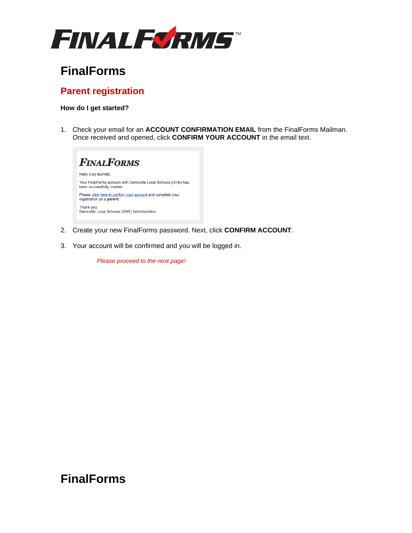

# **FinalForms**

### **Parent registration**

#### **How do I get started?**

1. Check your email for an **ACCOUNT CONFIRMATION EMAIL** from the FinalForms Mailman. Once received and opened, click **CONFIRM YOUR ACCOUNT** in the email text.



- 2. Create your new FinalForms password. Next, click **CONFIRM ACCOUNT**.
- 3. Your account will be confirmed and you will be logged in.

*Please proceed to the next page!*

## **FinalForms**